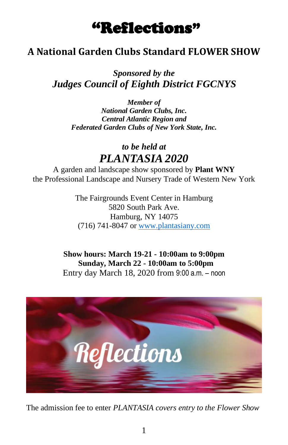# "Reflections"

# **A National Garden Clubs Standard FLOWER SHOW**

*Sponsored by the Judges Council of Eighth District FGCNYS*

> *Member of National Garden Clubs, Inc. Central Atlantic Region and Federated Garden Clubs of New York State, Inc.*

> > *to be held at PLANTASIA 2020*

A garden and landscape show sponsored by **Plant WNY** the Professional Landscape and Nursery Trade of Western New York

> The Fairgrounds Event Center in Hamburg 5820 South Park Ave. Hamburg, NY 14075 (716) 741-8047 o[r www.plantasiany.com](http://www.plantasiany.com/)

**Show hours: March 19-21 - 10:00am to 9:00pm Sunday, March 22 - 10:00am to 5:00pm**  Entry day March 18, 2020 from 9:00 a.m. – noon



The admission fee to enter *PLANTASIA covers entry to the Flower Show*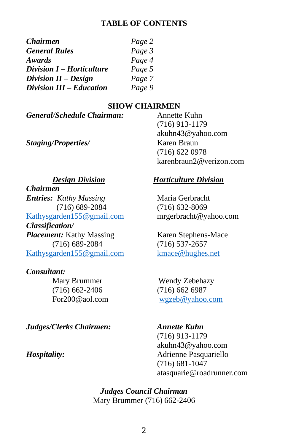#### **TABLE OF CONTENTS**

| <i><b>Chairmen</b></i>    | Page 2 |
|---------------------------|--------|
| <b>General Rules</b>      | Page 3 |
| <b>Awards</b>             | Page 4 |
| Division I - Horticulture | Page 5 |
| Division $II$ – Design    | Page 7 |
| Division III - Education  | Page 9 |

#### **SHOW CHAIRMEN**

*General/Schedule Chairman:* Annette Kuhn

*Staging/Properties/* Karen Braun

*Chairmen Entries: Kathy Massing* Maria Gerbracht (716) 689-2084 (716) 632-8069 [Kathysgarden155@gmail.com](mailto:Kathysgarden155@gmail.com) mrgerbracht@yahoo.com *Classification/ Placement:* Kathy Massing Karen Stephens-Mace (716) 689-2084 (716) 537-2657<br>  $\frac{\text{raden155@g}}{\text{raden155@g}}$ [Kathysgarden155@gmail.com](mailto:Kathysgarden155@gmail.com)

#### *Consultant:*

(716) 662-2406 (716) 662 6987

#### *Judges/Clerks Chairmen: Annette Kuhn*

#### *Design Division Horticulture Division*

(716) 913-1179 akuhn43@yahoo.com

(716) 622 0978

karenbraun2@verizon.com

**Mary Brummer** Wendy Zebehazy For200@aol.com [wgzeb@yahoo.com](mailto:wgzeb@yahoo.com)

(716) 913-1179 akuhn43@yahoo.com *Hospitality:* Adrienne Pasquariello (716) 681-1047 atasquarie@roadrunner.com

> *Judges Council Chairman* Mary Brummer (716) 662-2406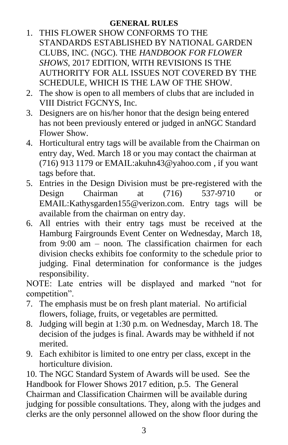#### **GENERAL RULES**

- 1. THIS FLOWER SHOW CONFORMS TO THE STANDARDS ESTABLISHED BY NATIONAL GARDEN CLUBS, INC. (NGC). THE *HANDBOOK FOR FLOWER SHOWS*, 2017 EDITION, WITH REVISIONS IS THE AUTHORITY FOR ALL ISSUES NOT COVERED BY THE SCHEDULE, WHICH IS THE LAW OF THE SHOW.
- 2. The show is open to all members of clubs that are included in VIII District FGCNYS, Inc.
- 3. Designers are on his/her honor that the design being entered has not been previously entered or judged in anNGC Standard Flower Show.
- 4. Horticultural entry tags will be available from the Chairman on entry day, Wed. March 18 or you may contact the chairman at (716) 913 1179 or [EMAIL:akuhn43@yahoo.com](mailto:EMAILwgzeb@yahoo.com) , if you want tags before that.
- 5. Entries in the Design Division must be pre-registered with the Design Chairman at (716) 537-9710 or EMAIL:Kathysgarden155@verizon.com. Entry tags will be available from the chairman on entry day.
- 6. All entries with their entry tags must be received at the Hamburg Fairgrounds Event Center on Wednesday, March 18, from 9:00 am – noon. The classification chairmen for each division checks exhibits foe conformity to the schedule prior to judging. Final determination for conformance is the judges responsibility.

NOTE: Late entries will be displayed and marked "not for competition".

- 7. The emphasis must be on fresh plant material. No artificial flowers, foliage, fruits, or vegetables are permitted.
- 8. Judging will begin at 1:30 p.m. on Wednesday, March 18. The decision of the judges is final. Awards may be withheld if not merited.
- 9. Each exhibitor is limited to one entry per class, except in the horticulture division.

10. The NGC Standard System of Awards will be used. See the Handbook for Flower Shows 2017 edition, p.5. The General Chairman and Classification Chairmen will be available during judging for possible consultations. They, along with the judges and clerks are the only personnel allowed on the show floor during the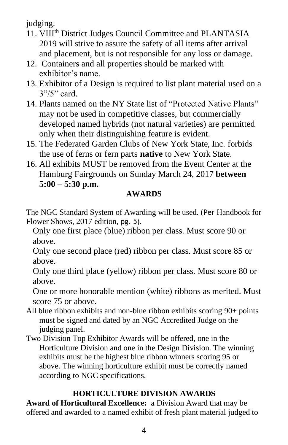judging.

- 11. VIII<sup>th</sup> District Judges Council Committee and PLANTASIA 2019 will strive to assure the safety of all items after arrival and placement, but is not responsible for any loss or damage.
- 12. Containers and all properties should be marked with exhibitor's name.
- 13. Exhibitor of a Design is required to list plant material used on a 3"/5" card.
- 14. Plants named on the NY State list of "Protected Native Plants" may not be used in competitive classes, but commercially developed named hybrids (not natural varieties) are permitted only when their distinguishing feature is evident.
- 15. The Federated Garden Clubs of New York State, Inc. forbids the use of ferns or fern parts **native** to New York State.
- 16. All exhibits MUST be removed from the Event Center at the Hamburg Fairgrounds on Sunday March 24, 2017 **between 5:00 – 5:30 p.m.**

# **AWARDS**

The NGC Standard System of Awarding will be used. (Per Handbook for Flower Shows, 2017 edition, pg. 5).

Only one first place (blue) ribbon per class. Must score 90 or above.

Only one second place (red) ribbon per class. Must score 85 or above.

Only one third place (yellow) ribbon per class. Must score 80 or above.

One or more honorable mention (white) ribbons as merited. Must score 75 or above.

- All blue ribbon exhibits and non-blue ribbon exhibits scoring 90+ points must be signed and dated by an NGC Accredited Judge on the judging panel.
- Two Division Top Exhibitor Awards will be offered, one in the Horticulture Division and one in the Design Division. The winning exhibits must be the highest blue ribbon winners scoring 95 or above. The winning horticulture exhibit must be correctly named according to NGC specifications.

# **HORTICULTURE DIVISION AWARDS**

**Award of Horticultural Excellence:** a Division Award that may be offered and awarded to a named exhibit of fresh plant material judged to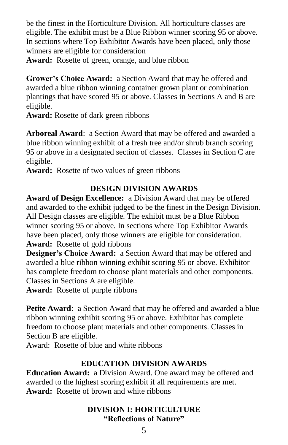be the finest in the Horticulture Division. All horticulture classes are eligible. The exhibit must be a Blue Ribbon winner scoring 95 or above. In sections where Top Exhibitor Awards have been placed, only those winners are eligible for consideration

**Award:** Rosette of green, orange, and blue ribbon

**Grower's Choice Award:** a Section Award that may be offered and awarded a blue ribbon winning container grown plant or combination plantings that have scored 95 or above. Classes in Sections A and B are eligible.

**Award:** Rosette of dark green ribbons

**Arboreal Award**: a Section Award that may be offered and awarded a blue ribbon winning exhibit of a fresh tree and/or shrub branch scoring 95 or above in a designated section of classes. Classes in Section C are eligible.

**Award:** Rosette of two values of green ribbons

# **DESIGN DIVISION AWARDS**

**Award of Design Excellence:** a Division Award that may be offered and awarded to the exhibit judged to be the finest in the Design Division. All Design classes are eligible. The exhibit must be a Blue Ribbon winner scoring 95 or above. In sections where Top Exhibitor Awards have been placed, only those winners are eligible for consideration. **Award:** Rosette of gold ribbons

**Designer's Choice Award:** a Section Award that may be offered and awarded a blue ribbon winning exhibit scoring 95 or above. Exhibitor has complete freedom to choose plant materials and other components. Classes in Sections A are eligible.

**Award:** Rosette of purple ribbons

**Petite Award**: a Section Award that may be offered and awarded a blue ribbon winning exhibit scoring 95 or above. Exhibitor has complete freedom to choose plant materials and other components. Classes in Section B are eligible.

Award: Rosette of blue and white ribbons

# **EDUCATION DIVISION AWARDS**

**Education Award:** a Division Award. One award may be offered and awarded to the highest scoring exhibit if all requirements are met. **Award:** Rosette of brown and white ribbons

### **DIVISION I: HORTICULTURE "Reflections of Nature"**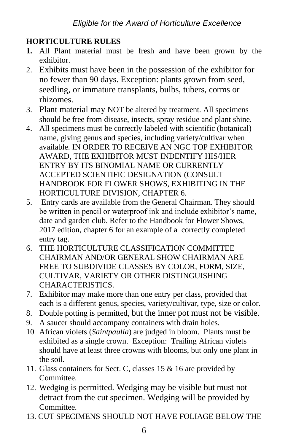# **HORTICULTURE RULES**

- **1.** All Plant material must be fresh and have been grown by the exhibitor.
- 2. Exhibits must have been in the possession of the exhibitor for no fewer than 90 days. Exception: plants grown from seed, seedling, or immature transplants, bulbs, tubers, corms or rhizomes.
- 3. Plant material may NOT be altered by treatment. All specimens should be free from disease, insects, spray residue and plant shine.
- 4. All specimens must be correctly labeled with scientific (botanical) name, giving genus and species, including variety/cultivar when available. IN ORDER TO RECEIVE AN NGC TOP EXHIBITOR AWARD, THE EXHIBITOR MUST INDENTIFY HIS/HER ENTRY BY ITS BINOMIAL NAME OR CURRENTLY ACCEPTED SCIENTIFIC DESIGNATION (CONSULT HANDBOOK FOR FLOWER SHOWS, EXHIBITING IN THE HORTICULTURE DIVISION, CHAPTER 6.
- 5. Entry cards are available from the General Chairman. They should be written in pencil or waterproof ink and include exhibitor's name, date and garden club. Refer to the Handbook for Flower Shows, 2017 edition, chapter 6 for an example of a correctly completed entry tag.
- 6. THE HORTICULTURE CLASSIFICATION COMMITTEE CHAIRMAN AND/OR GENERAL SHOW CHAIRMAN ARE FREE TO SUBDIVIDE CLASSES BY COLOR, FORM, SIZE, CULTIVAR, VARIETY OR OTHER DISTINGUISHING CHARACTERISTICS.
- 7. Exhibitor may make more than one entry per class, provided that each is a different genus, species, variety/cultivar, type, size or color.
- 8. Double potting is permitted, but the inner pot must not be visible.
- 9. A saucer should accompany containers with drain holes.
- 10 African violets (*Saintpaulia*) are judged in bloom. Plants must be exhibited as a single crown. Exception: Trailing African violets should have at least three crowns with blooms, but only one plant in the soil.
- 11. Glass containers for Sect. C, classes 15 & 16 are provided by Committee.
- 12. Wedging is permitted. Wedging may be visible but must not detract from the cut specimen. Wedging will be provided by **Committee**
- 13. CUT SPECIMENS SHOULD NOT HAVE FOLIAGE BELOW THE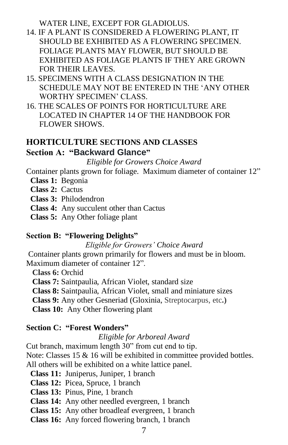WATER LINE, EXCEPT FOR GLADIOLUS.

- 14. IF A PLANT IS CONSIDERED A FLOWERING PLANT, IT SHOULD BE EXHIBITED AS A FLOWERING SPECIMEN. FOLIAGE PLANTS MAY FLOWER, BUT SHOULD BE EXHIBITED AS FOLIAGE PLANTS IF THEY ARE GROWN FOR THEIR LEAVES.
- 15. SPECIMENS WITH A CLASS DESIGNATION IN THE SCHEDULE MAY NOT BE ENTERED IN THE 'ANY OTHER WORTHY SPECIMEN' CLASS.
- 16. THE SCALES OF POINTS FOR HORTICULTURE ARE LOCATED IN CHAPTER 14 OF THE HANDBOOK FOR FLOWER SHOWS.

#### **HORTICULTURE SECTIONS AND CLASSES Section A: "Backward Glance"**

*Eligible for Growers Choice Award*

Container plants grown for foliage. Maximum diameter of container 12"

- **Class 1:** Begonia
- **Class 2:** Cactus
- **Class 3:** Philodendron
- **Class 4:** Any succulent other than Cactus
- **Class 5:** Any Other foliage plant

#### **Section B: "Flowering Delights"**

*Eligible for Growers' Choice Award*

Container plants grown primarily for flowers and must be in bloom. Maximum diameter of container 12".

**Class 6:** Orchid

**Class 7:** Saintpaulia, African Violet, standard size

**Class 8:** Saintpaulia, African Violet, small and miniature sizes

**Class 9:** Any other Gesneriad (Gloxinia, Streptocarpus, etc**.)**

 **Class 10:** Any Other flowering plant

# **Section C: "Forest Wonders"**

*Eligible for Arboreal Award*

Cut branch, maximum length 30" from cut end to tip.

Note: Classes 15 & 16 will be exhibited in committee provided bottles.

All others will be exhibited on a white lattice panel.

**Class 11:** Juniperus, Juniper, 1 branch

- **Class 12:** Picea, Spruce, 1 branch
- **Class 13:** Pinus, Pine, 1 branch
- **Class 14:** Any other needled evergreen, 1 branch
- **Class 15:** Any other broadleaf evergreen, 1 branch

**Class 16:** Any forced flowering branch, 1 branch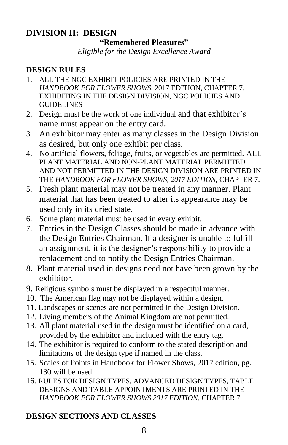#### **DIVISION II: DESIGN "Remembered Pleasures"**

*Eligible for the Design Excellence Award*

# **DESIGN RULES**

- 1. ALL THE NGC EXHIBIT POLICIES ARE PRINTED IN THE *HANDBOOK FOR FLOWER SHOWS*, 2017 EDITION, CHAPTER 7, EXHIBITING IN THE DESIGN DIVISION, NGC POLICIES AND GUIDELINES
- 2. Design must be the work of one individual and that exhibitor's name must appear on the entry card.
- 3. An exhibitor may enter as many classes in the Design Division as desired, but only one exhibit per class.
- 4. No artificial flowers, foliage, fruits, or vegetables are permitted. ALL PLANT MATERIAL AND NON-PLANT MATERIAL PERMITTED AND NOT PERMITTED IN THE DESIGN DIVISION ARE PRINTED IN THE *HANDBOOK FOR FLOWER SHOWS, 2017 EDITION,* CHAPTER 7.
- 5. Fresh plant material may not be treated in any manner. Plant material that has been treated to alter its appearance may be used only in its dried state.
- 6. Some plant material must be used in every exhibit.
- 7. Entries in the Design Classes should be made in advance with the Design Entries Chairman. If a designer is unable to fulfill an assignment, it is the designer's responsibility to provide a replacement and to notify the Design Entries Chairman.
- 8. Plant material used in designs need not have been grown by the exhibitor.
- 9. Religious symbols must be displayed in a respectful manner.
- 10. The American flag may not be displayed within a design.
- 11. Landscapes or scenes are not permitted in the Design Division.
- 12. Living members of the Animal Kingdom are not permitted.
- 13. All plant material used in the design must be identified on a card, provided by the exhibitor and included with the entry tag.
- 14. The exhibitor is required to conform to the stated description and limitations of the design type if named in the class.
- 15. Scales of Points in Handbook for Flower Shows, 2017 edition, pg. 130 will be used.
- 16. RULES FOR DESIGN TYPES, ADVANCED DESIGN TYPES, TABLE DESIGNS AND TABLE APPOINTMENTS ARE PRINTED IN THE *HANDBOOK FOR FLOWER SHOWS 2017 EDITION,* CHAPTER 7.

# **DESIGN SECTIONS AND CLASSES**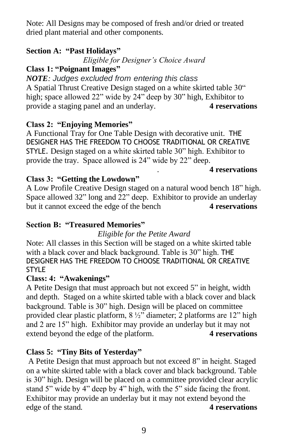Note: All Designs may be composed of fresh and/or dried or treated dried plant material and other components.

# **Section A: "Past Holidays"**

*Eligible for Designer's Choice Award*

# **Class 1: "Poignant Images"**

*NOTE: Judges excluded from entering this class* A Spatial Thrust Creative Design staged on a white skirted table 30" high; space allowed 22" wide by 24" deep by 30" high, Exhibitor to provide a staging panel and an underlay. **4 reservations**

# **Class 2: "Enjoying Memories"**

A Functional Tray for One Table Design with decorative unit. THE DESIGNER HAS THE FREEDOM TO CHOOSE TRADITIONAL OR CREATIVE STYLE. Design staged on a white skirted table 30" high. Exhibitor to provide the tray. Space allowed is 24" wide by 22" deep.

### . **4 reservations**

# **Class 3: "Getting the Lowdown"**

A Low Profile Creative Design staged on a natural wood bench 18" high. Space allowed 32" long and 22" deep. Exhibitor to provide an underlay but it cannot exceed the edge of the bench **4 reservations** 

# **Section B: "Treasured Memories"**

# *Eligible for the Petite Award*

Note: All classes in this Section will be staged on a white skirted table with a black cover and black background. Table is 30" high. THE DESIGNER HAS THE FREEDOM TO CHOOSE TRADITIONAL OR CREATIVE **STYLE** 

# **Class: 4: "Awakenings"**

A Petite Design that must approach but not exceed 5" in height, width and depth. Staged on a white skirted table with a black cover and black background. Table is 30" high. Design will be placed on committee provided clear plastic platform, 8 ½" diameter; 2 platforms are 12" high and 2 are 15" high. Exhibitor may provide an underlay but it may not extend beyond the edge of the platform. **4 reservations**

# **Class 5: "Tiny Bits of Yesterday"**

A Petite Design that must approach but not exceed 8" in height. Staged on a white skirted table with a black cover and black background. Table is 30" high. Design will be placed on a committee provided clear acrylic stand 5" wide by 4" deep by 4" high, with the 5" side facing the front. Exhibitor may provide an underlay but it may not extend beyond the edge of the stand. **4 reservations**